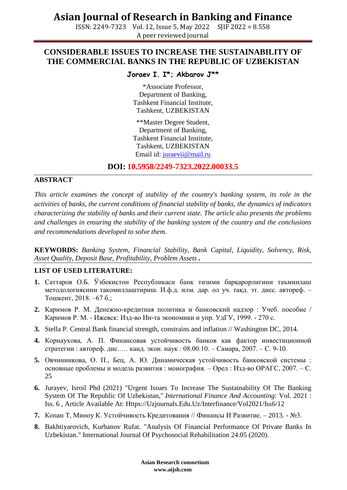## **Asian Journal of Research in Banking and Finance**

ISSN: 2249-7323 Vol. 12, Issue 5, May 2022 SJIF 2022 = 8.558 A peer reviewed journal

### **CONSIDERABLE ISSUES TO INCREASE THE SUSTAINABILITY OF THE COMMERCIAL BANKS IN THE REPUBLIC OF UZBEKISTAN**

### **Joraev I. I\*; Akbarov J\*\***

\*Associate Professor, Department of Banking, Tashkent Financial Institute, Tashkent, UZBEKISTAN

\*\*Master Degree Student, Department of Banking, Tashkent Financial Institute, Tashkent, UZBEKISTAN Email id: [juraevii@mail.ru](mailto:juraevii@mail.ru)

**DOI: 10.5958/2249-7323.2022.00033.5**

#### **ABSTRACT**

*This article examines the concept of stability of the country's banking system, its role in the activities of banks, the current conditions of financial stability of banks, the dynamics of indicators characterizing the stability of banks and their current state. The article also presents the problems and challenges in ensuring the stability of the banking system of the country and the conclusions and recommendations developed to solve them.*

**KEYWORDS:** *Banking System, Financial Stability, Bank Capital, Liquidity, Solvency, Risk, Asset Quality, Deposit Base, Profitability, Problem Assets .*

#### **LIST OF USED LITERATURE:**

- **1.** Саттаров О.Б. Ўзбекистон Республикаси банк тизими барқарорлигини таъминлаш методологиясини такомиллаштириш. И.ф.д. илм. дар. ол уч. тақд. эт. дисс. автореф. – Тошкент, 2018. –67 б.;
- **2.** Каримов Р. М. Денежно-кредитная политика и банковский надзор : Учеб. пособие / Каримов Р. М. - Ижевск: Изд-во Ин-та экономики и упр. УдГУ, 1999. - 270 с.
- **3.** Stella P. Central Bank financial strength, constrains and inflation // Washington DC, 2014.
- **4.** Корнаухова, А. П. Финансовая устойчивость банков как фактор инвестиционной стратегии : автореф. дис. … канд. экон. наук : 08.00.10. – Самара, 2007. – С. 9-10.
- **5.** Овчинникова, О. П., Бец, А. Ю. Динамическая устойчивость банковской системы : основные проблемы и модель развития : монография. – Орел : Изд-во ОРАГС, 2007. – С. 25
- **6.** Jurayev, Isroil Phd (2021) "Urgent Issues To Increase The Sustainability Of The Banking System Of The Republic Of Uzbekistan," *International Finance And Accounting*: Vol. 2021 : Iss. 6 , Article Available At: Https://Uzjournals.Edu.Uz/Interfinance/Vol2021/Iss6/12
- **7.** Копан Т, Миноу К. Устойчивость Кредитования // Финансы И Развитие. 2013. №3.
- **8.** Bakhtiyarovich, Kurbanov Rufat. "Analysis Of Financial Performance Of Private Banks In Uzbekistan." International Journal Of Psychosocial Rehabilitation 24.05 (2020).